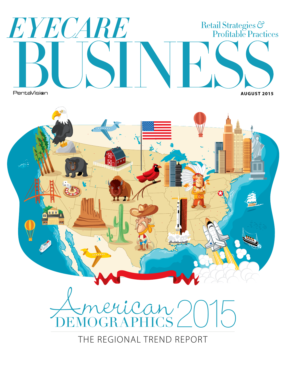# EYECARE Retail Strategies &<br>Profitable Practices PentaVision **AUGUST 2015**



THE REGIONAL TREND REPORT